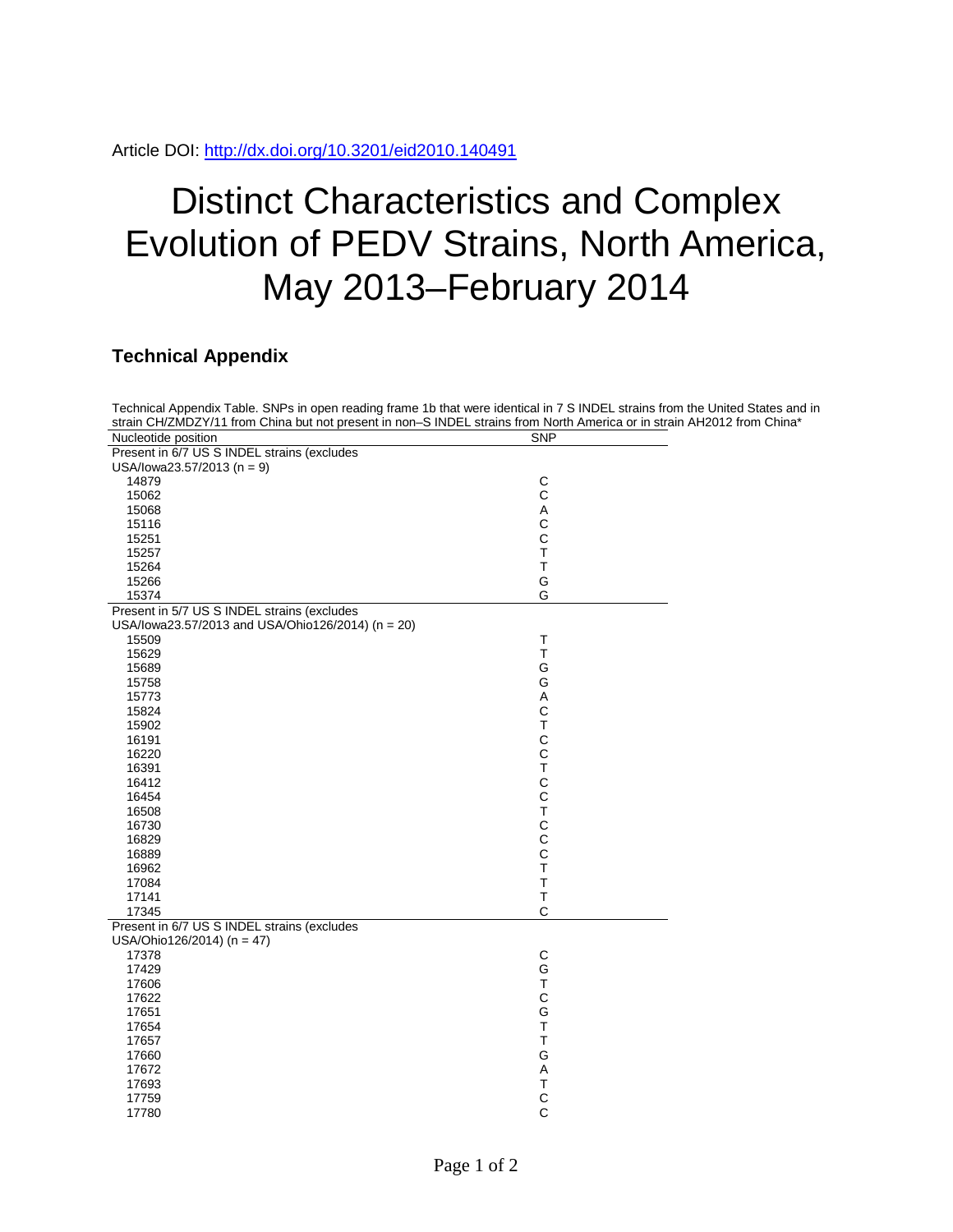## Distinct Characteristics and Complex Evolution of PEDV Strains, North America, May 2013–February 2014

## **Technical Appendix**

| Technical Appendix Table. SNPs in open reading frame 1b that were identical in 7 S INDEL strains from the United States and in<br>strain CH/ZMDZY/11 from China but not present in non-S INDEL strains from North America or in strain AH2012 from China* |                                |  |
|-----------------------------------------------------------------------------------------------------------------------------------------------------------------------------------------------------------------------------------------------------------|--------------------------------|--|
| Nucleotide position                                                                                                                                                                                                                                       | <b>SNP</b>                     |  |
| Present in 6/7 US S INDEL strains (excludes<br>USA/lowa23.57/2013 (n = 9)                                                                                                                                                                                 |                                |  |
| 14879                                                                                                                                                                                                                                                     |                                |  |
|                                                                                                                                                                                                                                                           | $\mathsf{C}$<br>$\overline{C}$ |  |
| 15062                                                                                                                                                                                                                                                     |                                |  |
| 15068                                                                                                                                                                                                                                                     | $\mathsf A$                    |  |
| 15116                                                                                                                                                                                                                                                     | $\mathbf C$                    |  |
| 15251                                                                                                                                                                                                                                                     | $\mathbf C$                    |  |
| 15257                                                                                                                                                                                                                                                     | $\top$                         |  |
| 15264                                                                                                                                                                                                                                                     | $\top$                         |  |
| 15266                                                                                                                                                                                                                                                     | G                              |  |
| 15374                                                                                                                                                                                                                                                     | G                              |  |
| Present in 5/7 US S INDEL strains (excludes<br>USA/lowa23.57/2013 and USA/Ohio126/2014) (n = 20)                                                                                                                                                          |                                |  |
| 15509                                                                                                                                                                                                                                                     | $\mathsf{T}$                   |  |
| 15629                                                                                                                                                                                                                                                     | T                              |  |
| 15689                                                                                                                                                                                                                                                     | G                              |  |
| 15758                                                                                                                                                                                                                                                     | G                              |  |
|                                                                                                                                                                                                                                                           | A                              |  |
| 15773                                                                                                                                                                                                                                                     |                                |  |
| 15824                                                                                                                                                                                                                                                     | $\mathbf C$                    |  |
| 15902                                                                                                                                                                                                                                                     | $\top$                         |  |
| 16191                                                                                                                                                                                                                                                     | $\mathsf{C}$                   |  |
| 16220                                                                                                                                                                                                                                                     | $\overline{C}$                 |  |
| 16391                                                                                                                                                                                                                                                     | $\top$                         |  |
| 16412                                                                                                                                                                                                                                                     | $\mathsf{C}$                   |  |
| 16454                                                                                                                                                                                                                                                     | $\mathbf C$                    |  |
| 16508                                                                                                                                                                                                                                                     | $\bar{T}$                      |  |
| 16730                                                                                                                                                                                                                                                     | $\mathbf C$                    |  |
| 16829                                                                                                                                                                                                                                                     | $\overline{C}$                 |  |
| 16889                                                                                                                                                                                                                                                     | $\mathbf C$                    |  |
| 16962                                                                                                                                                                                                                                                     | $\top$                         |  |
| 17084                                                                                                                                                                                                                                                     | $\top$                         |  |
| 17141                                                                                                                                                                                                                                                     | $\top$                         |  |
| 17345                                                                                                                                                                                                                                                     | $\mathsf{C}$                   |  |
| Present in 6/7 US S INDEL strains (excludes                                                                                                                                                                                                               |                                |  |
| USA/Ohio126/2014) (n = 47)                                                                                                                                                                                                                                |                                |  |
| 17378                                                                                                                                                                                                                                                     | $\mathsf C$                    |  |
| 17429                                                                                                                                                                                                                                                     | G                              |  |
| 17606                                                                                                                                                                                                                                                     | $\mathsf T$                    |  |
| 17622                                                                                                                                                                                                                                                     | $\mathsf{C}$                   |  |
| 17651                                                                                                                                                                                                                                                     | G                              |  |
| 17654                                                                                                                                                                                                                                                     | $\top$                         |  |
| 17657                                                                                                                                                                                                                                                     | $\top$                         |  |
| 17660                                                                                                                                                                                                                                                     | G                              |  |
|                                                                                                                                                                                                                                                           | $\mathsf A$                    |  |
| 17672                                                                                                                                                                                                                                                     |                                |  |
| 17693                                                                                                                                                                                                                                                     | $\top$                         |  |
| 17759                                                                                                                                                                                                                                                     | $\mathbf C$                    |  |
| 17780                                                                                                                                                                                                                                                     | $\mathsf{C}$                   |  |